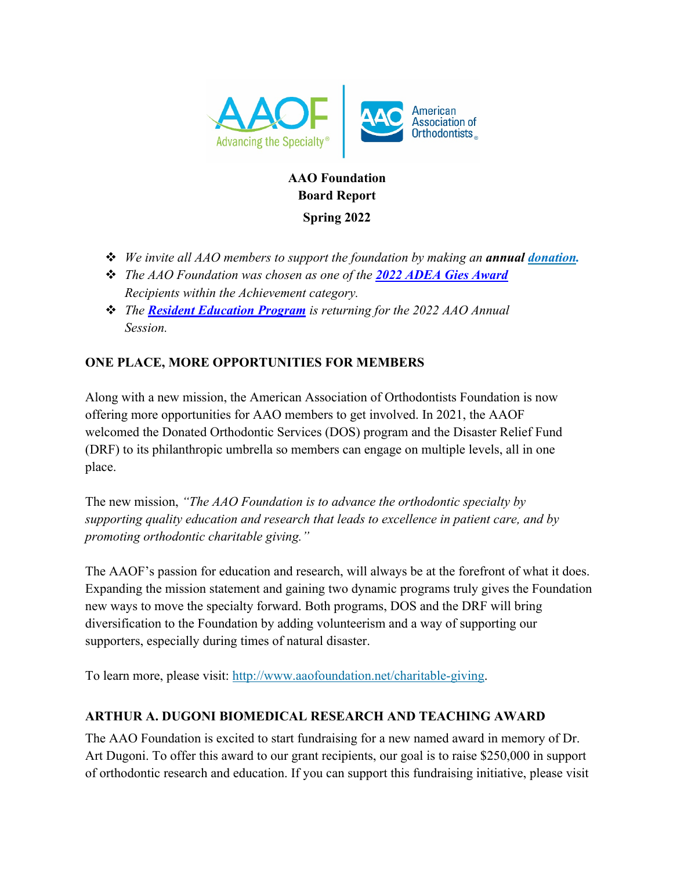

# **AAO Foundation Board Report**

**Spring 2022**

- **→** *We invite all AAO members to support the foundation by making an annual <i>donation*.
- v *The AAO Foundation was chosen as one of the 2022 ADEA Gies Award Recipients within the Achievement category.*
- **••** *The Resident Education Program* is returning for the 2022 AAO Annual *Session.*

## **ONE PLACE, MORE OPPORTUNITIES FOR MEMBERS**

Along with a new mission, the American Association of Orthodontists Foundation is now offering more opportunities for AAO members to get involved. In 2021, the AAOF welcomed the Donated Orthodontic Services (DOS) program and the Disaster Relief Fund (DRF) to its philanthropic umbrella so members can engage on multiple levels, all in one place.

The new mission, *"The AAO Foundation is to advance the orthodontic specialty by supporting quality education and research that leads to excellence in patient care, and by promoting orthodontic charitable giving."*

The AAOF's passion for education and research, will always be at the forefront of what it does. Expanding the mission statement and gaining two dynamic programs truly gives the Foundation new ways to move the specialty forward. Both programs, DOS and the DRF will bring diversification to the Foundation by adding volunteerism and a way of supporting our supporters, especially during times of natural disaster.

To learn more, please visit: http://www.aaofoundation.net/charitable-giving.

## **ARTHUR A. DUGONI BIOMEDICAL RESEARCH AND TEACHING AWARD**

The AAO Foundation is excited to start fundraising for a new named award in memory of Dr. Art Dugoni. To offer this award to our grant recipients, our goal is to raise \$250,000 in support of orthodontic research and education. If you can support this fundraising initiative, please visit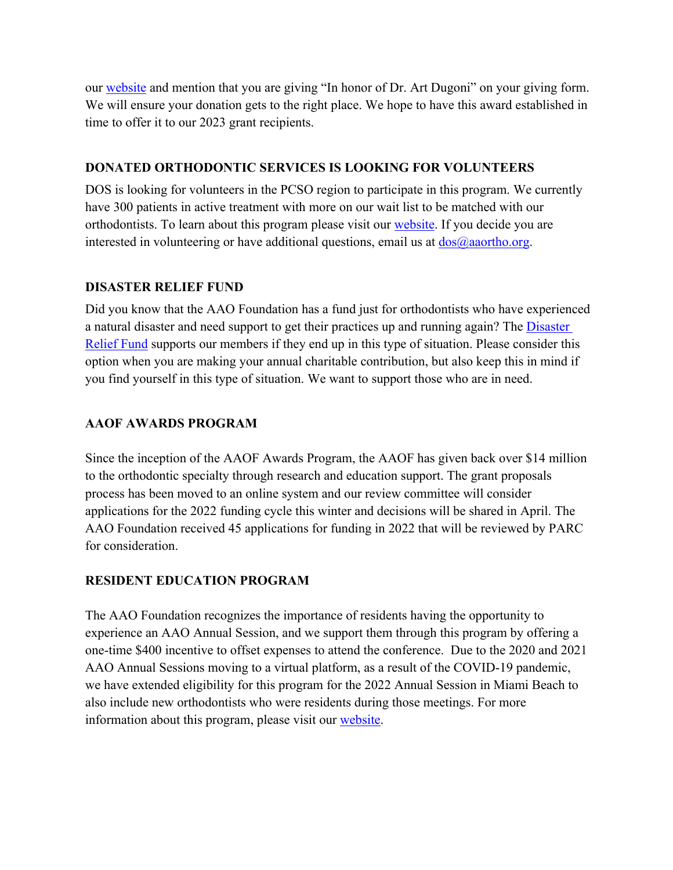our website and mention that you are giving "In honor of Dr. Art Dugoni" on your giving form. We will ensure your donation gets to the right place. We hope to have this award established in time to offer it to our 2023 grant recipients.

#### **DONATED ORTHODONTIC SERVICES IS LOOKING FOR VOLUNTEERS**

DOS is looking for volunteers in the PCSO region to participate in this program. We currently have 300 patients in active treatment with more on our wait list to be matched with our orthodontists. To learn about this program please visit our website. If you decide you are interested in volunteering or have additional questions, email us at  $\frac{d\cos(\theta)}{d\theta}$  aaortho.org.

#### **DISASTER RELIEF FUND**

Did you know that the AAO Foundation has a fund just for orthodontists who have experienced a natural disaster and need support to get their practices up and running again? The Disaster Relief Fund supports our members if they end up in this type of situation. Please consider this option when you are making your annual charitable contribution, but also keep this in mind if you find yourself in this type of situation. We want to support those who are in need.

#### **AAOF AWARDS PROGRAM**

Since the inception of the AAOF Awards Program, the AAOF has given back over \$14 million to the orthodontic specialty through research and education support. The grant proposals process has been moved to an online system and our review committee will consider applications for the 2022 funding cycle this winter and decisions will be shared in April. The AAO Foundation received 45 applications for funding in 2022 that will be reviewed by PARC for consideration.

#### **RESIDENT EDUCATION PROGRAM**

The AAO Foundation recognizes the importance of residents having the opportunity to experience an AAO Annual Session, and we support them through this program by offering a one-time \$400 incentive to offset expenses to attend the conference. Due to the 2020 and 2021 AAO Annual Sessions moving to a virtual platform, as a result of the COVID-19 pandemic, we have extended eligibility for this program for the 2022 Annual Session in Miami Beach to also include new orthodontists who were residents during those meetings. For more information about this program, please visit our website.